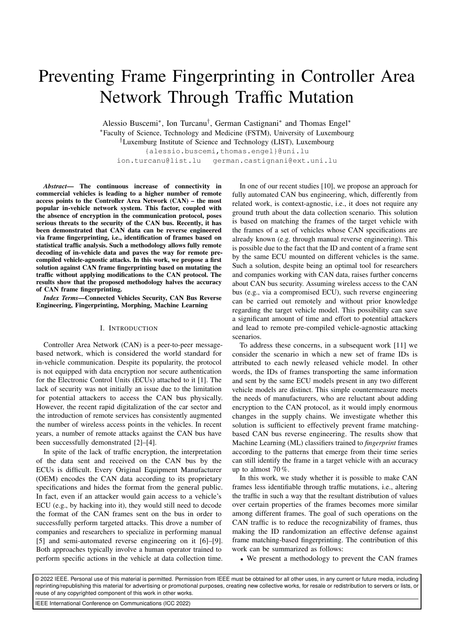# Preventing Frame Fingerprinting in Controller Area Network Through Traffic Mutation

Alessio Buscemi∗ , Ion Turcanu† , German Castignani∗ and Thomas Engel∗ ∗Faculty of Science, Technology and Medicine (FSTM), University of Luxembourg

†Luxemburg Institute of Science and Technology (LIST), Luxembourg

{alessio.buscemi,thomas.engel}@uni.lu

ion.turcanu@list.lu german.castignani@ext.uni.lu

*Abstract*— The continuous increase of connectivity in commercial vehicles is leading to a higher number of remote access points to the Controller Area Network (CAN) – the most popular in-vehicle network system. This factor, coupled with the absence of encryption in the communication protocol, poses serious threats to the security of the CAN bus. Recently, it has been demonstrated that CAN data can be reverse engineered via frame fingerprinting, i.e., identification of frames based on statistical traffic analysis. Such a methodology allows fully remote decoding of in-vehicle data and paves the way for remote precompiled vehicle-agnostic attacks. In this work, we propose a first solution against CAN frame fingerprinting based on mutating the traffic without applying modifications to the CAN protocol. The results show that the proposed methodology halves the accuracy of CAN frame fingerprinting.

*Index Terms*—Connected Vehicles Security, CAN Bus Reverse Engineering, Fingerprinting, Morphing, Machine Learning

### I. INTRODUCTION

Controller Area Network (CAN) is a peer-to-peer messagebased network, which is considered the world standard for in-vehicle communication. Despite its popularity, the protocol is not equipped with data encryption nor secure authentication for the Electronic Control Units (ECUs) attached to it [1]. The lack of security was not initially an issue due to the limitation for potential attackers to access the CAN bus physically. However, the recent rapid digitalization of the car sector and the introduction of remote services has consistently augmented the number of wireless access points in the vehicles. In recent years, a number of remote attacks against the CAN bus have been successfully demonstrated [2]–[4].

In spite of the lack of traffic encryption, the interpretation of the data sent and received on the CAN bus by the ECUs is difficult. Every Original Equipment Manufacturer (OEM) encodes the CAN data according to its proprietary specifications and hides the format from the general public. In fact, even if an attacker would gain access to a vehicle's ECU (e.g., by hacking into it), they would still need to decode the format of the CAN frames sent on the bus in order to successfully perform targeted attacks. This drove a number of companies and researchers to specialize in performing manual [5] and semi-automated reverse engineering on it [6]–[9]. Both approaches typically involve a human operator trained to perform specific actions in the vehicle at data collection time.

In one of our recent studies [10], we propose an approach for fully automated CAN bus engineering, which, differently from related work, is context-agnostic, i.e., it does not require any ground truth about the data collection scenario. This solution is based on matching the frames of the target vehicle with the frames of a set of vehicles whose CAN specifications are already known (e.g. through manual reverse engineering). This is possible due to the fact that the ID and content of a frame sent by the same ECU mounted on different vehicles is the same. Such a solution, despite being an optimal tool for researchers and companies working with CAN data, raises further concerns about CAN bus security. Assuming wireless access to the CAN bus (e.g., via a compromised ECU), such reverse engineering can be carried out remotely and without prior knowledge regarding the target vehicle model. This possibility can save a significant amount of time and effort to potential attackers and lead to remote pre-compiled vehicle-agnostic attacking scenarios.

To address these concerns, in a subsequent work [11] we consider the scenario in which a new set of frame IDs is attributed to each newly released vehicle model. In other words, the IDs of frames transporting the same information and sent by the same ECU models present in any two different vehicle models are distinct. This simple countermeasure meets the needs of manufacturers, who are reluctant about adding encryption to the CAN protocol, as it would imply enormous changes in the supply chains. We investigate whether this solution is sufficient to effectively prevent frame matchingbased CAN bus reverse engineering. The results show that Machine Learning (ML) classifiers trained to *fingerprint* frames according to the patterns that emerge from their time series can still identify the frame in a target vehicle with an accuracy up to almost 70 %.

In this work, we study whether it is possible to make CAN frames less identifiable through traffic mutations, i.e., altering the traffic in such a way that the resultant distribution of values over certain properties of the frames becomes more similar among different frames. The goal of such operations on the CAN traffic is to reduce the recognizability of frames, thus making the ID randomization an effective defense against frame matching-based fingerprinting. The contribution of this work can be summarized as follows:

• We present a methodology to prevent the CAN frames

© 2022 IEEE. Personal use of this material is permitted. Permission from IEEE must be obtained for all other uses, in any current or future media, including reprinting/republishing this material for advertising or promotional purposes, creating new collective works, for resale or redistribution to servers or lists, or reuse of any copyrighted component of this work in other works.

IEEE International Conference on Communications (ICC 2022)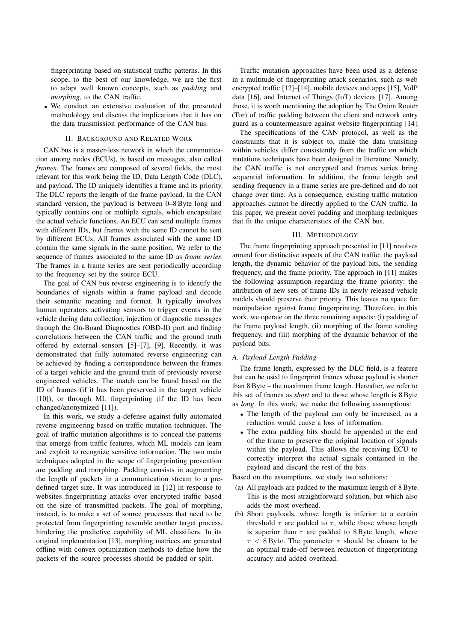fingerprinting based on statistical traffic patterns. In this scope, to the best of our knowledge, we are the first to adapt well known concepts, such as *padding* and *morphing*, to the CAN traffic.

• We conduct an extensive evaluation of the presented methodology and discuss the implications that it has on the data transmission performance of the CAN bus.

# II. BACKGROUND AND RELATED WORK

CAN bus is a master-less network in which the communication among nodes (ECUs), is based on messages, also called *frames*. The frames are composed of several fields, the most relevant for this work being the ID, Data Length Code (DLC), and payload. The ID uniquely identifies a frame and its priority. The DLC reports the length of the frame payload. In the CAN standard version, the payload is between 0–8 Byte long and typically contains one or multiple signals, which encapsulate the actual vehicle functions. An ECU can send multiple frames with different IDs, but frames with the same ID cannot be sent by different ECUs. All frames associated with the same ID contain the same signals in the same position. We refer to the sequence of frames associated to the same ID as *frame series*. The frames in a frame series are sent periodically according to the frequency set by the source ECU.

The goal of CAN bus reverse engineering is to identify the boundaries of signals within a frame payload and decode their semantic meaning and format. It typically involves human operators activating sensors to trigger events in the vehicle during data collection, injection of diagnostic messages through the On-Board Diagnostics (OBD-II) port and finding correlations between the CAN traffic and the ground truth offered by external sensors [5]–[7], [9]. Recently, it was demonstrated that fully automated reverse engineering can be achieved by finding a correspondence between the frames of a target vehicle and the ground truth of previously reverse engineered vehicles. The match can be found based on the ID of frames (if it has been preserved in the target vehicle [10]), or through ML fingerprinting (if the ID has been changed/anonymized [11]).

In this work, we study a defense against fully automated reverse engineering based on traffic mutation techniques. The goal of traffic mutation algorithms is to conceal the patterns that emerge from traffic features, which ML models can learn and exploit to recognize sensitive information. The two main techniques adopted in the scope of fingerprinting prevention are padding and morphing. Padding consists in augmenting the length of packets in a communication stream to a predefined target size. It was introduced in [12] in response to websites fingerprinting attacks over encrypted traffic based on the size of transmitted packets. The goal of morphing, instead, is to make a set of source processes that need to be protected from fingerprinting resemble another target process, hindering the predictive capability of ML classifiers. In its original implementation [13], morphing matrices are generated offline with convex optimization methods to define how the packets of the source processes should be padded or split.

Traffic mutation approaches have been used as a defense in a multitude of fingerprinting attack scenarios, such as web encrypted traffic [12]–[14], mobile devices and apps [15], VoIP data [16], and Internet of Things (IoT) devices [17]. Among those, it is worth mentioning the adoption by The Onion Router (Tor) of traffic padding between the client and network entry guard as a countermeasure against website fingerprinting [14].

The specifications of the CAN protocol, as well as the constraints that it is subject to, make the data transiting within vehicles differ consistently from the traffic on which mutations techniques have been designed in literature. Namely, the CAN traffic is not encrypted and frames series bring sequential information. In addition, the frame length and sending frequency in a frame series are pre-defined and do not change over time. As a consequence, existing traffic mutation approaches cannot be directly applied to the CAN traffic. In this paper, we present novel padding and morphing techniques that fit the unique characteristics of the CAN bus.

#### III. METHODOLOGY

The frame fingerprinting approach presented in [11] revolves around four distinctive aspects of the CAN traffic: the payload length, the dynamic behavior of the payload bits, the sending frequency, and the frame priority. The approach in [11] makes the following assumption regarding the frame priority: the attribution of new sets of frame IDs in newly released vehicle models should preserve their priority. This leaves no space for manipulation against frame fingerprinting. Therefore, in this work, we operate on the three remaining aspects: (i) padding of the frame payload length, (ii) morphing of the frame sending frequency, and (iii) morphing of the dynamic behavior of the payload bits.

# *A. Payload Length Padding*

The frame length, expressed by the DLC field, is a feature that can be used to fingerprint frames whose payload is shorter than 8 Byte – the maximum frame length. Hereafter, we refer to this set of frames as *short* and to those whose length is 8 Byte as *long*. In this work, we make the following assumptions:

- The length of the payload can only be increased, as a reduction would cause a loss of information.
- The extra padding bits should be appended at the end of the frame to preserve the original location of signals within the payload. This allows the receiving ECU to correctly interpret the actual signals contained in the payload and discard the rest of the bits.

Based on the assumptions, we study two solutions:

- (a) All payloads are padded to the maximum length of 8 Byte. This is the most straightforward solution, but which also adds the most overhead.
- (b) Short payloads, whose length is inferior to a certain threshold  $\tau$  are padded to  $\tau$ , while those whose length is superior than  $\tau$  are padded to 8 Byte length, where  $\tau$  < 8 Byte. The parameter  $\tau$  should be chosen to be an optimal trade-off between reduction of fingerprinting accuracy and added overhead.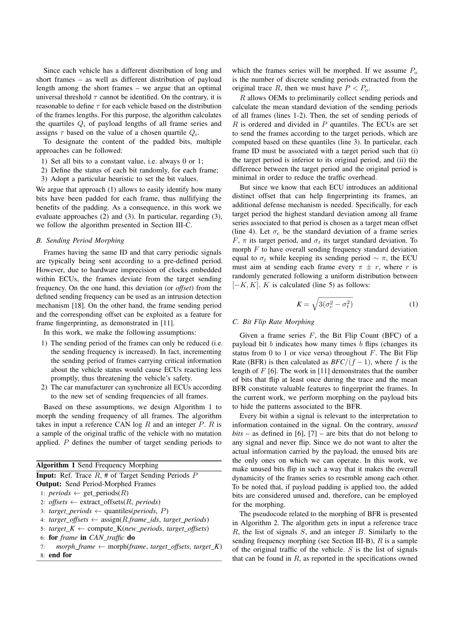Since each vehicle has a different distribution of long and short frames – as well as different distribution of payload length among the short frames – we argue that an optimal universal threshold  $\tau$  cannot be identified. On the contrary, it is reasonable to define  $\tau$  for each vehicle based on the distribution of the frames lengths. For this purpose, the algorithm calculates the quartiles  $Q_i$  of payload lengths of all frame series and assigns  $\tau$  based on the value of a chosen quartile  $Q_i$ .

To designate the content of the padded bits, multiple approaches can be followed:

- 1) Set all bits to a constant value, i.e. always 0 or 1;
- 2) Define the status of each bit randomly, for each frame;
- 3) Adopt a particular heuristic to set the bit values.

We argue that approach (1) allows to easily identify how many bits have been padded for each frame, thus nullifying the benefits of the padding. As a consequence, in this work we evaluate approaches (2) and (3). In particular, regarding (3), we follow the algorithm presented in Section III-C.

# *B. Sending Period Morphing*

Frames having the same ID and that carry periodic signals are typically being sent according to a pre-defined period. However, due to hardware imprecision of clocks embedded within ECUs, the frames deviate from the target sending frequency. On the one hand, this deviation (or *offset*) from the defined sending frequency can be used as an intrusion detection mechanism [18]. On the other hand, the frame sending period and the corresponding offset can be exploited as a feature for frame fingerprinting, as demonstrated in [11].

In this work, we make the following assumptions:

- 1) The sending period of the frames can only be reduced (i.e. the sending frequency is increased). In fact, incrementing the sending period of frames carrying critical information about the vehicle status would cause ECUs reacting less promptly, thus threatening the vehicle's safety.
- 2) The car manufacturer can synchronize all ECUs according to the new set of sending frequencies of all frames.

Based on these assumptions, we design Algorithm 1 to morph the sending frequency of all frames. The algorithm takes in input a reference CAN log  $R$  and an integer  $P$ .  $R$  is a sample of the original traffic of the vehicle with no mutation applied. P defines the number of target sending periods to

| <b>Algorithm 1 Send Frequency Morphing</b>                            |
|-----------------------------------------------------------------------|
| <b>Input:</b> Ref. Trace $R$ , # of Target Sending Periods $P$        |
| <b>Output:</b> Send Period-Morphed Frames                             |
| 1: <i>periods</i> $\leftarrow$ get_periods(R)                         |
| 2: offsets $\leftarrow$ extract_offsets(R, periods)                   |
| 3: target_periods $\leftarrow$ quantiles(periods, P)                  |
| 4: $target\_offsets \leftarrow assign(R-frame\_ids, target\_periods)$ |
| 5: target_K $\leftarrow$ compute_K(new_periods, target_offsets)       |
| 6: for frame in CAN_traffic do                                        |
| morph frame $\leftarrow$ morph(frame, target offsets, target K)<br>7: |
| 8: end for                                                            |

which the frames series will be morphed. If we assume  $P_0$ is the number of discrete sending periods extracted from the original trace R, then we must have  $P < P<sub>o</sub>$ .

R allows OEMs to preliminarily collect sending periods and calculate the mean standard deviation of the sending periods of all frames (lines 1-2). Then, the set of sending periods of  $R$  is ordered and divided in  $P$  quantiles. The ECUs are set to send the frames according to the target periods, which are computed based on these quantiles (line 3). In particular, each frame ID must be associated with a target period such that (i) the target period is inferior to its original period, and (ii) the difference between the target period and the original period is minimal in order to reduce the traffic overhead.

But since we know that each ECU introduces an additional distinct offset that can help fingerprinting its frames, an additional defense mechanism is needed. Specifically, for each target period the highest standard deviation among all frame series associated to that period is chosen as a target mean offset (line 4). Let  $\sigma_c$  be the standard deviation of a frame series F,  $\pi$  its target period, and  $\sigma_t$  its target standard deviation. To morph  $F$  to have overall sending frequency standard deviation equal to  $\sigma_t$  while keeping its sending period  $\sim \pi$ , the ECU must aim at sending each frame every  $\pi \pm r$ , where r is randomly generated following a uniform distribution between  $[-K, K]$ . K is calculated (line 5) as follows:

$$
K = \sqrt{3(\sigma_c^2 - \sigma_t^2)}
$$
 (1)

# *C. Bit Flip Rate Morphing*

Given a frame series  $F$ , the Bit Flip Count (BFC) of a payload bit  $b$  indicates how many times  $b$  flips (changes its status from 0 to 1 or vice versa) throughout  $F$ . The Bit Flip Rate (BFR) is then calculated as  $BFC/(f-1)$ , where f is the length of  $F$  [6]. The work in [11] demonstrates that the number of bits that flip at least once during the trace and the mean BFR constitute valuable features to fingerprint the frames. In the current work, we perform morphing on the payload bits to hide the patterns associated to the BFR.

Every bit within a signal is relevant to the interpretation to information contained in the signal. On the contrary, *unused*  $bits - as defined in [6], [7] - are bits that do not belong to$ any signal and never flip. Since we do not want to alter the actual information carried by the payload, the unused bits are the only ones on which we can operate. In this work, we make unused bits flip in such a way that it makes the overall dynamicity of the frames series to resemble among each other. To be noted that, if payload padding is applied too, the added bits are considered unused and, therefore, can be employed for the morphing.

The pseudocode related to the morphing of BFR is presented in Algorithm 2. The algorithm gets in input a reference trace  $R$ , the list of signals  $S$ , and an integer  $B$ . Similarly to the sending frequency morphing (see Section III-B),  $R$  is a sample of the original traffic of the vehicle.  $S$  is the list of signals that can be found in  $R$ , as reported in the specifications owned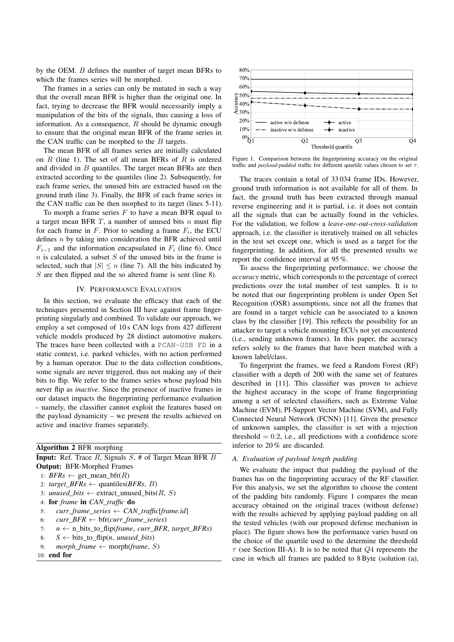by the OEM. B defines the number of target mean BFRs to which the frames series will be morphed.

The frames in a series can only be mutated in such a way that the overall mean BFR is higher than the original one. In fact, trying to decrease the BFR would necessarily imply a manipulation of the bits of the signals, thus causing a loss of information. As a consequence,  $R$  should be dynamic enough to ensure that the original mean BFR of the frame series in the CAN traffic can be morphed to the  $B$  targets.

The mean BFR of all frames series are initially calculated on  $R$  (line 1). The set of all mean BFRs of  $R$  is ordered and divided in B quantiles. The target mean BFRs are then extracted according to the quantiles (line 2). Subsequently, for each frame series, the unused bits are extracted based on the ground truth (line 3). Finally, the BFR of each frame series in the CAN traffic can be then morphed to its target (lines 5-11).

To morph a frame series  $F$  to have a mean BFR equal to a target mean BFR  $T$ , a number of unused bits  $n$  must flip for each frame in  $F$ . Prior to sending a frame  $F_i$ , the ECU defines  $n$  by taking into consideration the BFR achieved until  $F_{i-1}$  and the information encapsulated in  $F_i$  (line 6). Once  $n$  is calculated, a subset  $S$  of the unused bits in the frame is selected, such that  $|S| \le n$  (line 7). All the bits indicated by S are then flipped and the so altered frame is sent (line 8).

## IV. PERFORMANCE EVALUATION

In this section, we evaluate the efficacy that each of the techniques presented in Section III have against frame fingerprinting singularly and combined. To validate our approach, we employ a set composed of 10 s CAN logs from 427 different vehicle models produced by 28 distinct automotive makers. The traces have been collected with a PCAN-USB FD in a static context, i.e. parked vehicles, with no action performed by a human operator. Due to the data collection conditions, some signals are never triggered, thus not making any of their bits to flip. We refer to the frames series whose payload bits never flip as *inactive*. Since the presence of inactive frames in our dataset impacts the fingerprinting performance evaluation – namely, the classifier cannot exploit the features based on the payload dynamicity – we present the results achieved on active and inactive frames separately.

#### Algorithm 2 BFR morphing

**Input:** Ref. Trace  $R$ , Signals  $S$ , # of Target Mean BFR  $B$ Output: BFR-Morphed Frames

- 1:  $BFRs \leftarrow get\_mean_bfr(R)$
- 2:  $target\_BFRs \leftarrow$  quantiles(*BFRs*, *B*)
- 3: *unused\_bits*  $\leftarrow$  extract\_unused\_bits(R, S)
- 4: for *frame* in *CAN\_traffic* do
- 5:  $curr\_frame\_series \leftarrow CAN\_traffic[frame.id]$ <br>6:  $curr BFR \leftarrow bfr(curr frame series)$
- 6:  $curr\_BFR \leftarrow \text{bf}(curr\_frame\_series)$ <br>7:  $n \leftarrow n$  bits to flip(*frame, curr BFR*
- 7:  $n \leftarrow n\_bits_to_flip(frame, curr_BFR, target_BFRs)$ <br>8:  $S \leftarrow bits to flip(n, unused bits)$
- 8:  $S \leftarrow \text{bits\_to\_flip}(n, unused\_bits)$ <br>9: *mornh frame*  $\leftarrow \text{morph}(frame, S)$
- $morph\_frame \leftarrow morph(frame, S)$

10: end for



Figure 1. Comparison between the fingerprinting accuracy on the original traffic and *payload-padded* traffic for different quartile values chosen to set τ.

The traces contain a total of 33 034 frame IDs. However, ground truth information is not available for all of them. In fact, the ground truth has been extracted through manual reverse engineering and it is partial, i.e. it does not contain all the signals that can be actually found in the vehicles. For the validation, we follow a *leave-one-out-cross-validation* approach, i.e. the classifier is iteratively trained on all vehicles in the test set except one, which is used as a target for the fingerprinting. In addition, for all the presented results we report the confidence interval at 95 %.

To assess the fingerprinting performance, we choose the *accuracy* metric, which corresponds to the percentage of correct predictions over the total number of test samples. It is to be noted that our fingerprinting problem is under Open Set Recognition (OSR) assumptions, since not all the frames that are found in a target vehicle can be associated to a known class by the classifier [19]. This reflects the possibility for an attacker to target a vehicle mounting ECUs not yet encountered (i.e., sending unknown frames). In this paper, the accuracy refers solely to the frames that have been matched with a known label/class.

To fingerprint the frames, we feed a Random Forest (RF) classifier with a depth of 200 with the same set of features described in [11]. This classifier was proven to achieve the highest accuracy in the scope of frame fingerprinting among a set of selected classifiers, such as Extreme Value Machine (EVM), PI-Support Vector Machine (SVM), and Fully Connected Neural Network (FCNN) [11]. Given the presence of unknown samples, the classifier is set with a rejection threshold  $= 0.2$ , i.e., all predictions with a confidence score inferior to 20 % are discarded.

## *A. Evaluation of payload length padding*

We evaluate the impact that padding the payload of the frames has on the fingerprinting accuracy of the RF classifier. For this analysis, we set the algorithm to choose the content of the padding bits randomly. Figure 1 compares the mean accuracy obtained on the original traces (without defense) with the results achieved by applying payload padding on all the tested vehicles (with our proposed defense mechanism in place). The figure shows how the performance varies based on the choice of the quartile used to the determine the threshold  $\tau$  (see Section III-A). It is to be noted that  $Q_4$  represents the case in which all frames are padded to 8 Byte (solution (a),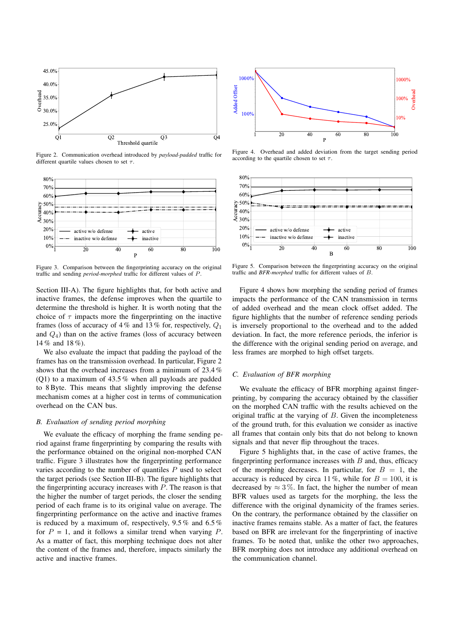

Figure 2. Communication overhead introduced by *payload-padded* traffic for different quartile values chosen to set  $\tau$ .



Figure 3. Comparison between the fingerprinting accuracy on the original traffic and sending *period-morphed* traffic for different values of P.

Section III-A). The figure highlights that, for both active and inactive frames, the defense improves when the quartile to determine the threshold is higher. It is worth noting that the choice of  $\tau$  impacts more the fingerprinting on the inactive frames (loss of accuracy of 4 % and 13 % for, respectively,  $Q_1$ and  $Q_4$ ) than on the active frames (loss of accuracy between 14 % and 18 %).

We also evaluate the impact that padding the payload of the frames has on the transmission overhead. In particular, Figure 2 shows that the overhead increases from a minimum of 23.4 % (Q1) to a maximum of 43.5 % when all payloads are padded to 8 Byte. This means that slightly improving the defense mechanism comes at a higher cost in terms of communication overhead on the CAN bus.

# *B. Evaluation of sending period morphing*

We evaluate the efficacy of morphing the frame sending period against frame fingerprinting by comparing the results with the performance obtained on the original non-morphed CAN traffic. Figure 3 illustrates how the fingerprinting performance varies according to the number of quantiles  $P$  used to select the target periods (see Section III-B). The figure highlights that the fingerprinting accuracy increases with  $P$ . The reason is that the higher the number of target periods, the closer the sending period of each frame is to its original value on average. The fingerprinting performance on the active and inactive frames is reduced by a maximum of, respectively, 9.5 % and 6.5 % for  $P = 1$ , and it follows a similar trend when varying P. As a matter of fact, this morphing technique does not alter the content of the frames and, therefore, impacts similarly the active and inactive frames.



Figure 4. Overhead and added deviation from the target sending period according to the quartile chosen to set  $\tau$ .



Figure 5. Comparison between the fingerprinting accuracy on the original traffic and *BFR-morphed* traffic for different values of B.

Figure 4 shows how morphing the sending period of frames impacts the performance of the CAN transmission in terms of added overhead and the mean clock offset added. The figure highlights that the number of reference sending periods is inversely proportional to the overhead and to the added deviation. In fact, the more reference periods, the inferior is the difference with the original sending period on average, and less frames are morphed to high offset targets.

# *C. Evaluation of BFR morphing*

We evaluate the efficacy of BFR morphing against fingerprinting, by comparing the accuracy obtained by the classifier on the morphed CAN traffic with the results achieved on the original traffic at the varying of B. Given the incompleteness of the ground truth, for this evaluation we consider as inactive all frames that contain only bits that do not belong to known signals and that never flip throughout the traces.

Figure 5 highlights that, in the case of active frames, the fingerprinting performance increases with  $B$  and, thus, efficacy of the morphing decreases. In particular, for  $B = 1$ , the accuracy is reduced by circa 11%, while for  $B = 100$ , it is decreased by  $\approx 3\%$ . In fact, the higher the number of mean BFR values used as targets for the morphing, the less the difference with the original dynamicity of the frames series. On the contrary, the performance obtained by the classifier on inactive frames remains stable. As a matter of fact, the features based on BFR are irrelevant for the fingerprinting of inactive frames. To be noted that, unlike the other two approaches, BFR morphing does not introduce any additional overhead on the communication channel.